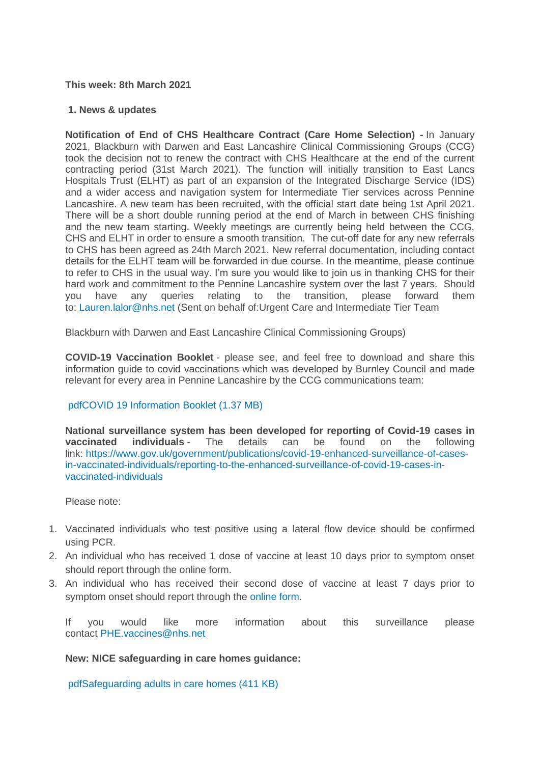#### **This week: 8th March 2021**

#### **1. News & updates**

**Notification of End of CHS Healthcare Contract (Care Home Selection) -** In January 2021, Blackburn with Darwen and East Lancashire Clinical Commissioning Groups (CCG) took the decision not to renew the contract with CHS Healthcare at the end of the current contracting period (31st March 2021). The function will initially transition to East Lancs Hospitals Trust (ELHT) as part of an expansion of the Integrated Discharge Service (IDS) and a wider access and navigation system for Intermediate Tier services across Pennine Lancashire. A new team has been recruited, with the official start date being 1st April 2021. There will be a short double running period at the end of March in between CHS finishing and the new team starting. Weekly meetings are currently being held between the CCG, CHS and ELHT in order to ensure a smooth transition. The cut-off date for any new referrals to CHS has been agreed as 24th March 2021. New referral documentation, including contact details for the ELHT team will be forwarded in due course. In the meantime, please continue to refer to CHS in the usual way. I'm sure you would like to join us in thanking CHS for their hard work and commitment to the Pennine Lancashire system over the last 7 years. Should you have any queries relating to the transition, please forward them to: [Lauren.lalor@nhs.net](mailto:Lauren.lalor@nhs.net) (Sent on behalf of:Urgent Care and Intermediate Tier Team

Blackburn with Darwen and East Lancashire Clinical Commissioning Groups)

**COVID-19 Vaccination Booklet** - please see, and feel free to download and share this information guide to covid vaccinations which was developed by Burnley Council and made relevant for every area in Pennine Lancashire by the CCG communications team:

# [pdfCOVID 19 Information Booklet](https://eastlancsccg.nhs.uk/about-us/publications/2793-covid-19-information-booklet-2) (1.37 MB)

**National surveillance system has been developed for reporting of Covid-19 cases in vaccinated individuals** - The details can be found on the following link: [https://www.gov.uk/government/publications/covid-19-enhanced-surveillance-of-cases](https://www.gov.uk/government/publications/covid-19-enhanced-surveillance-of-cases-in-vaccinated-individuals/reporting-to-the-enhanced-surveillance-of-covid-19-cases-in-vaccinated-individuals)[in-vaccinated-individuals/reporting-to-the-enhanced-surveillance-of-covid-19-cases-in](https://www.gov.uk/government/publications/covid-19-enhanced-surveillance-of-cases-in-vaccinated-individuals/reporting-to-the-enhanced-surveillance-of-covid-19-cases-in-vaccinated-individuals)[vaccinated-individuals](https://www.gov.uk/government/publications/covid-19-enhanced-surveillance-of-cases-in-vaccinated-individuals/reporting-to-the-enhanced-surveillance-of-covid-19-cases-in-vaccinated-individuals)

Please note:

- 1. Vaccinated individuals who test positive using a lateral flow device should be confirmed using PCR.
- 2. An individual who has received 1 dose of vaccine at least 10 days prior to symptom onset should report through the online form.
- 3. An individual who has received their second dose of vaccine at least 7 days prior to symptom onset should report through the [online form.](https://snapsurvey.phe.org.uk/snapwebhost/s.asp?k=161037673124)

If you would like more information about this surveillance please contact [PHE.vaccines@nhs.net](mailto:PHE.vaccines@nhs.net)

**New: NICE safeguarding in care homes guidance:**

[pdfSafeguarding adults in care homes](https://eastlancsccg.nhs.uk/about-us/publications/2794-safeguarding-adults-in-care-homes) (411 KB)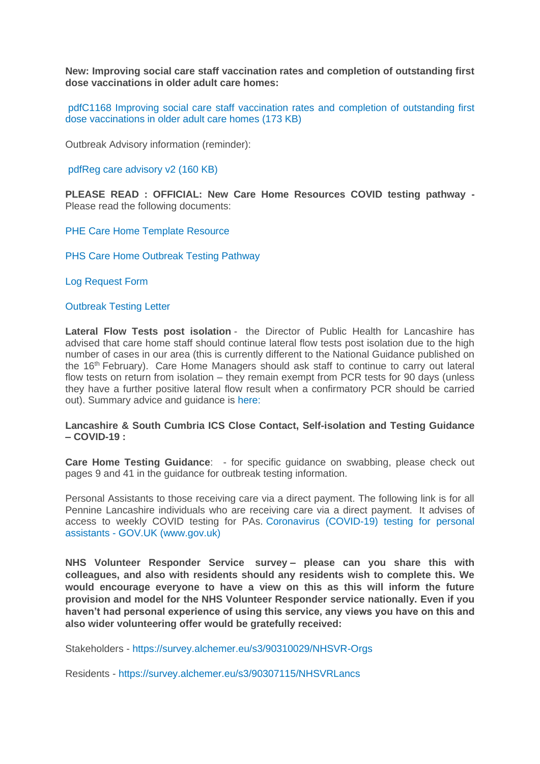**New: Improving social care staff vaccination rates and completion of outstanding first dose vaccinations in older adult care homes:**

[pdfC1168 Improving social care staff vaccination rates and completion of outstanding first](https://eastlancsccg.nhs.uk/about-us/publications/2795-c1168-improving-social-care-staff-vaccination-rates-and-completion-of-outstanding-first-dose-vaccinations-in-older-adult-care-homes)  [dose vaccinations in older adult care homes](https://eastlancsccg.nhs.uk/about-us/publications/2795-c1168-improving-social-care-staff-vaccination-rates-and-completion-of-outstanding-first-dose-vaccinations-in-older-adult-care-homes) (173 KB)

Outbreak Advisory information (reminder):

[pdfReg care advisory v2](https://eastlancsccg.nhs.uk/about-us/publications/2796-reg-care-advisory-v2) (160 KB)

**PLEASE READ : OFFICIAL: New Care Home Resources COVID testing pathway -** Please read the following documents:

[PHE Care Home Template Resource](https://eastlancsccg.nhs.uk/images/PHE_NW_ARI_Care_Home_Template_Resource_v2.1_18022021.pptx)

[PHS Care Home Outbreak Testing Pathway](https://eastlancsccg.nhs.uk/images/PHE_NW_ARI_Care_Home_Outbreak_Testing_Pathway_v1.6_19022021.pdf)

[Log Request Form](https://eastlancsccg.nhs.uk/images/ILog_Request_Form_v10.docx)

[Outbreak Testing Letter](https://eastlancsccg.nhs.uk/images/Outbreak_testing_letter_16_Feb.pdf)

**Lateral Flow Tests post isolation** - the Director of Public Health for Lancashire has advised that care home staff should continue lateral flow tests post isolation due to the high number of cases in our area (this is currently different to the National Guidance published on the 16th February). Care Home Managers should ask staff to continue to carry out lateral flow tests on return from isolation – they remain exempt from PCR tests for 90 days (unless they have a further positive lateral flow result when a confirmatory PCR should be carried out). Summary advice and guidance is [here:](https://eastlancsccg.nhs.uk/images/DPHAdvice_LFD_care.docx)

#### **Lancashire & South Cumbria ICS Close Contact, Self-isolation and Testing Guidance – COVID-19 :**

**Care Home Testing Guidance**: - for specific guidance on swabbing, please check out pages 9 and 41 in the guidance for outbreak testing information.

Personal Assistants to those receiving care via a direct payment. The following link is for all Pennine Lancashire individuals who are receiving care via a direct payment. It advises of access to weekly COVID testing for PAs. [Coronavirus \(COVID-19\) testing for personal](https://www.gov.uk/guidance/coronavirus-covid-19-testing-for-personal-assistants)  assistants - [GOV.UK \(www.gov.uk\)](https://www.gov.uk/guidance/coronavirus-covid-19-testing-for-personal-assistants)

**NHS Volunteer Responder Service survey – please can you share this with colleagues, and also with residents should any residents wish to complete this. We would encourage everyone to have a view on this as this will inform the future provision and model for the NHS Volunteer Responder service nationally. Even if you haven't had personal experience of using this service, any views you have on this and also wider volunteering offer would be gratefully received:**

Stakeholders - <https://survey.alchemer.eu/s3/90310029/NHSVR-Orgs>

Residents - <https://survey.alchemer.eu/s3/90307115/NHSVRLancs>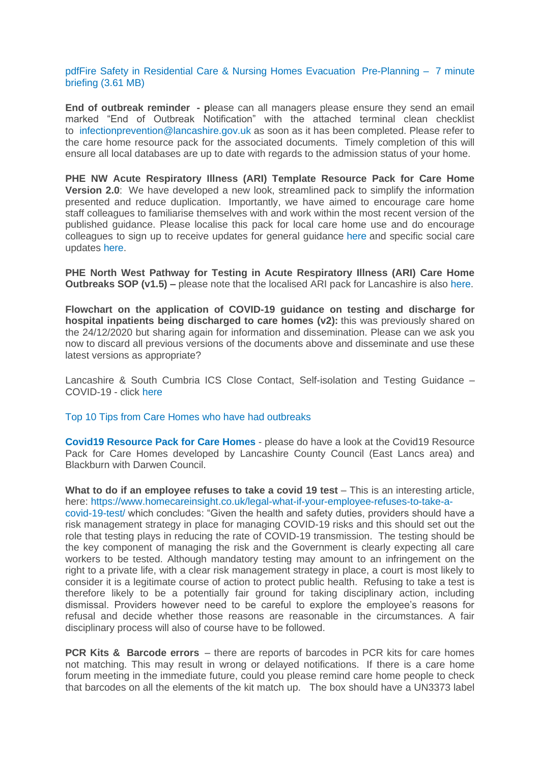[pdfFire Safety in Residential Care & Nursing Homes Evacuation](https://eastlancsccg.nhs.uk/about-us/publications/2771-lsab-and-lfrs-fire-safety-in-residential-care-nursing-homes-evacuation) Pre-Planning – 7 minute briefing [\(3.61 MB\)](https://eastlancsccg.nhs.uk/about-us/publications/2771-lsab-and-lfrs-fire-safety-in-residential-care-nursing-homes-evacuation)

**End of outbreak reminder - p**lease can all managers please ensure they send an email marked "End of Outbreak Notification" with the attached terminal clean checklist to [infectionprevention@lancashire.gov.uk](mailto:infectionprevention@lancashire.gov.uk) as soon as it has been completed. Please refer to the care home resource pack for the associated documents. Timely completion of this will ensure all local databases are up to date with regards to the admission status of your home.

**PHE NW Acute Respiratory Illness (ARI) Template Resource Pack for Care Home Version 2.0**: We have developed a new look, streamlined pack to simplify the information presented and reduce duplication. Importantly, we have aimed to encourage care home staff colleagues to familiarise themselves with and work within the most recent version of the published guidance. Please localise this pack for local care home use and do encourage colleagues to sign up to receive updates for general guidance [here](https://eur01.safelinks.protection.outlook.com/?url=https%3A%2F%2Fwww.gov.uk%2Femail-signup%3Ftopic%3D%2Fcoronavirus-taxon&data=04%7C01%7CICC.Northwest%40phe.gov.uk%7C43409d913cfe4836d83808d8b6ea2da9%7Cee4e14994a354b2ead475f3cf9de8666%7C0%7C0%7C637460464223163495%7CUnknown%7CTWFpbGZsb3d8eyJWIjoiMC4wLjAwMDAiLCJQIjoiV2luMzIiLCJBTiI6Ik1haWwiLCJXVCI6Mn0%3D%7C1000&sdata=AHge6%2F2yyUXLRWU1ibFh3r221NBwYIT%2BMTt71VeYLYo%3D&reserved=0) and specific social care updates [here.](https://eur01.safelinks.protection.outlook.com/?url=https%3A%2F%2Fdhsc-mail.co.uk%2Fform%2FSx1iaZDJ%2Fd4e8f5123aa2d11bf90fb9e3%2F&data=04%7C01%7CICC.Northwest%40phe.gov.uk%7C43409d913cfe4836d83808d8b6ea2da9%7Cee4e14994a354b2ead475f3cf9de8666%7C0%7C0%7C637460464223163495%7CUnknown%7CTWFpbGZsb3d8eyJWIjoiMC4wLjAwMDAiLCJQIjoiV2luMzIiLCJBTiI6Ik1haWwiLCJXVCI6Mn0%3D%7C1000&sdata=AeD387cOKNfN9zu3LcGoT8SjKSa0Uw959oiprQfyhHo%3D&reserved=0)

**PHE North West Pathway for Testing in Acute Respiratory Illness (ARI) Care Home Outbreaks SOP (v1.5)** – please note that the localised ARI pack for Lancashire is also [here.](https://www.lancashire.gov.uk/media/921449/phe-nw-acute-respiratory-illness-ari-template-resource-pack-for-care-homes-version-20.pdf)

**Flowchart on the application of COVID-19 guidance on testing and discharge for hospital inpatients being discharged to care homes (v2):** this was previously shared on the 24/12/2020 but sharing again for information and dissemination. Please can we ask you now to discard all previous versions of the documents above and disseminate and use these latest versions as appropriate?

Lancashire & South Cumbria ICS Close Contact, Self-isolation and Testing Guidance – COVID-19 - click [here](https://eastlancsccg.nhs.uk/images/Staff_notice_guide_to_close_contacts_self-isolation_and_testing_version__.pdf)

[Top 10 Tips from Care Homes who have had outbreaks](https://eastlancsccg.nhs.uk/images/RegulatedCareSector/Top_ten_tips.docx)

**[Covid19 Resource Pack for Care Homes](https://www.lancashire.gov.uk/practitioners/health-and-social-care/care-service-provider-engagement/coronavirus-covid-19-information-for-care-providers/residential-and-nursing-care/)** - please do have a look at the Covid19 Resource Pack for Care Homes developed by Lancashire County Council (East Lancs area) and Blackburn with Darwen Council.

**What to do if an employee refuses to take a covid 19 test** – This is an interesting article, here: [https://www.homecareinsight.co.uk/legal-what-if-your-employee-refuses-to-take-a-](https://www.homecareinsight.co.uk/legal-what-if-your-employee-refuses-to-take-a-covid-19-test/)

[covid-19-test/](https://www.homecareinsight.co.uk/legal-what-if-your-employee-refuses-to-take-a-covid-19-test/) which concludes: "Given the health and safety duties, providers should have a risk management strategy in place for managing COVID-19 risks and this should set out the role that testing plays in reducing the rate of COVID-19 transmission. The testing should be the key component of managing the risk and the Government is clearly expecting all care workers to be tested. Although mandatory testing may amount to an infringement on the right to a private life, with a clear risk management strategy in place, a court is most likely to consider it is a legitimate course of action to protect public health. Refusing to take a test is therefore likely to be a potentially fair ground for taking disciplinary action, including dismissal. Providers however need to be careful to explore the employee's reasons for refusal and decide whether those reasons are reasonable in the circumstances. A fair disciplinary process will also of course have to be followed.

**PCR Kits & Barcode errors** – there are reports of barcodes in PCR kits for care homes not matching. This may result in wrong or delayed notifications. If there is a care home forum meeting in the immediate future, could you please remind care home people to check that barcodes on all the elements of the kit match up. The box should have a UN3373 label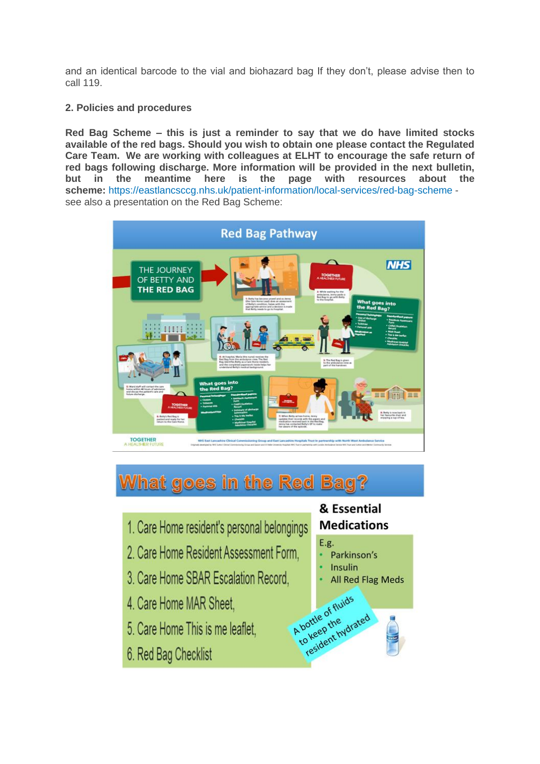and an identical barcode to the vial and biohazard bag If they don't, please advise then to call 119.

# **2. Policies and procedures**

**Red Bag Scheme – this is just a reminder to say that we do have limited stocks available of the red bags. Should you wish to obtain one please contact the Regulated Care Team. We are working with colleagues at ELHT to encourage the safe return of red bags following discharge. More information will be provided in the next bulletin, but in the meantime here is the page with resources about the scheme:** <https://eastlancsccg.nhs.uk/patient-information/local-services/red-bag-scheme> see also a presentation on the Red Bag Scheme:



# **What goes in the Red Bag?**

- 1. Care Home resident's personal belongings
- 2. Care Home Resident Assessment Form,
- 3. Care Home SBAR Escalation Record,
- 4. Care Home MAR Sheet.
- 5. Care Home This is me leaflet,
- 6. Red Bag Checklist

# & Essential **Medications**

# E.g.

A bortle of fluids<br>A bortle of fluids<br>to keep the <sub>vdrated</sub>

- Parkinson's
- Insulin
- All Red Flag Meds A bottle of fluids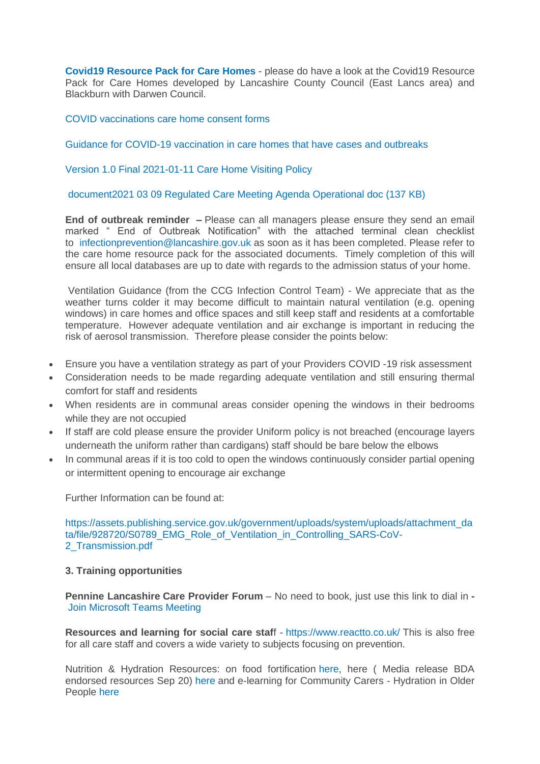**[Covid19 Resource Pack for Care Homes](https://www.lancashire.gov.uk/practitioners/health-and-social-care/care-service-provider-engagement/coronavirus-covid-19-information-for-care-providers/residential-and-nursing-care/)** - please do have a look at the Covid19 Resource Pack for Care Homes developed by Lancashire County Council (East Lancs area) and Blackburn with Darwen Council.

[COVID vaccinations care home consent forms](https://eastlancsccg.nhs.uk/images/RegulatedCareSector/20201208_ICS_CH_CvdVacConsentForm_v1_FINAL.PDF)

[Guidance for COVID-19 vaccination in care homes that have cases and outbreaks](https://www.england.nhs.uk/coronavirus/publication/guidance-for-covid-19-vaccination-in-care-homes-that-have-cases-and-outbreaks/)

[Version 1.0 Final 2021-01-11 Care Home Visiting Policy](https://www.gov.uk/government/publications/visiting-care-homes-during-coronavirus/update-on-policies-for-visiting-arrangements-in-care-homes)

[document2021 03 09 Regulated Care Meeting Agenda Operational doc](https://eastlancsccg.nhs.uk/about-us/publications/2798-2021-03-09-regulated-care-meeting-agenda-operational-doc) (137 KB)

**End of outbreak reminder –** Please can all managers please ensure they send an email marked " End of Outbreak Notification" with the attached terminal clean checklist to [infectionprevention@lancashire.gov.uk](mailto:infectionprevention@lancashire.gov.uk) as soon as it has been completed. Please refer to the care home resource pack for the associated documents. Timely completion of this will ensure all local databases are up to date with regards to the admission status of your home.

Ventilation Guidance (from the CCG Infection Control Team) - We appreciate that as the weather turns colder it may become difficult to maintain natural ventilation (e.g. opening windows) in care homes and office spaces and still keep staff and residents at a comfortable temperature. However adequate ventilation and air exchange is important in reducing the risk of aerosol transmission. Therefore please consider the points below:

- Ensure you have a ventilation strategy as part of your Providers COVID -19 risk assessment
- Consideration needs to be made regarding adequate ventilation and still ensuring thermal comfort for staff and residents
- When residents are in communal areas consider opening the windows in their bedrooms while they are not occupied
- If staff are cold please ensure the provider Uniform policy is not breached (encourage layers underneath the uniform rather than cardigans) staff should be bare below the elbows
- In communal areas if it is too cold to open the windows continuously consider partial opening or intermittent opening to encourage air exchange

Further Information can be found at:

[https://assets.publishing.service.gov.uk/government/uploads/system/uploads/attachment\\_da](https://assets.publishing.service.gov.uk/government/uploads/system/uploads/attachment_data/file/928720/S0789_EMG_Role_of_Ventilation_in_Controlling_SARS-CoV-2_Transmission.pdf) [ta/file/928720/S0789\\_EMG\\_Role\\_of\\_Ventilation\\_in\\_Controlling\\_SARS-CoV-](https://assets.publishing.service.gov.uk/government/uploads/system/uploads/attachment_data/file/928720/S0789_EMG_Role_of_Ventilation_in_Controlling_SARS-CoV-2_Transmission.pdf)[2\\_Transmission.pdf](https://assets.publishing.service.gov.uk/government/uploads/system/uploads/attachment_data/file/928720/S0789_EMG_Role_of_Ventilation_in_Controlling_SARS-CoV-2_Transmission.pdf)

# **3. Training opportunities**

**Pennine Lancashire Care Provider Forum** – No need to book, just use this link to dial in **-** [Join Microsoft Teams Meeting](https://teams.microsoft.com/l/meetup-join/19%3ameeting_OWE0ZjdiNjUtNTRmZC00YzE2LWFhMjYtYjk2MGRhOTQ5NTEw%40thread.v2/0?context=%7b%22Tid%22%3a%2237c354b2-85b0-47f5-b222-07b48d774ee3%22%2c%22Oid%22%3a%226ae1fd49-b6bd-4e18-8c59-b3f5992aa6e2%22%7d)

**Resources and learning for social care staf**f - <https://www.reactto.co.uk/> This is also free for all care staff and covers a wide variety to subjects focusing on prevention.

Nutrition & Hydration Resources: on food fortification [here,](file:///C:/Users/libby.horsfield/AppData/Local/Microsoft/Windows/INetCache/Content.Outlook/JPBAACMK/images/Food_Fortification.pdf) here ( Media release BDA endorsed resources Sep 20) [here](file:///C:/Users/libby.horsfield/AppData/Local/Microsoft/Windows/INetCache/Content.Outlook/JPBAACMK/images/Media_release_BDA_endorsed_resources_Sep_20.docx) and e-learning for Community Carers - Hydration in Older People [here](file:///C:/Users/libby.horsfield/AppData/Local/Microsoft/Windows/INetCache/Content.Outlook/JPBAACMK/images/e-learning_for_Community_Carers_-_Hydration_in_Older_People.docx)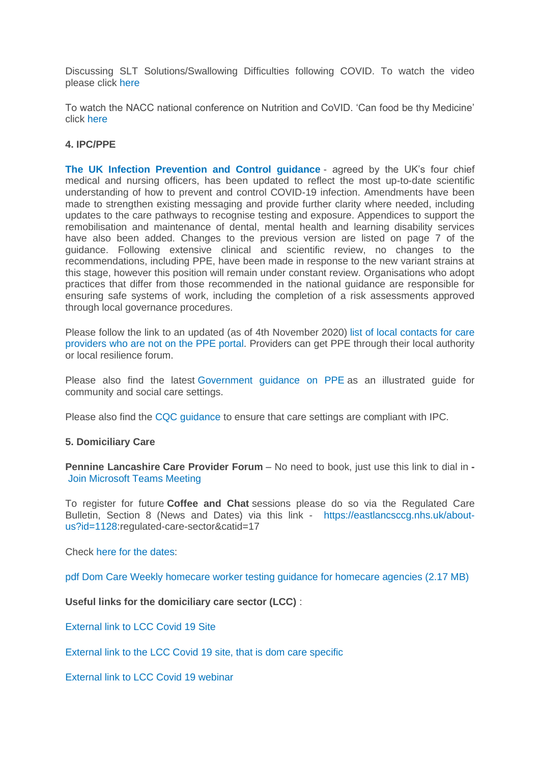Discussing SLT Solutions/Swallowing Difficulties following COVID. To watch the video please click [here](https://bit.ly/2G8VuhL)

To watch the NACC national conference on Nutrition and CoVID. 'Can food be thy Medicine' click [here](https://bit.ly/2TnSmkZ)

#### **4. IPC/PPE**

**[The UK Infection Prevention and Control guidance](https://www.gov.uk/government/publications/wuhan-novel-coronavirus-infection-prevention-and-control)** - agreed by the UK's four chief medical and nursing officers, has been updated to reflect the most up-to-date scientific understanding of how to prevent and control COVID-19 infection. Amendments have been made to strengthen existing messaging and provide further clarity where needed, including updates to the care pathways to recognise testing and exposure. Appendices to support the remobilisation and maintenance of dental, mental health and learning disability services have also been added. Changes to the previous version are listed on page 7 of the guidance. Following extensive clinical and scientific review, no changes to the recommendations, including PPE, have been made in response to the new variant strains at this stage, however this position will remain under constant review. Organisations who adopt practices that differ from those recommended in the national guidance are responsible for ensuring safe systems of work, including the completion of a risk assessments approved through local governance procedures.

Please follow the link to an updated (as of 4th November 2020) [list of local contacts for care](https://www.gov.uk/guidance/personal-protective-equipment-ppe-local-contacts-for-care-providers?utm_source=7b0599ce-5951-49ad-aa64-8d33f4581bd8&utm_medium=email&utm_campaign=govuk-notifications&utm_content=daily)  [providers who are not on the PPE portal.](https://www.gov.uk/guidance/personal-protective-equipment-ppe-local-contacts-for-care-providers?utm_source=7b0599ce-5951-49ad-aa64-8d33f4581bd8&utm_medium=email&utm_campaign=govuk-notifications&utm_content=daily) Providers can get PPE through their local authority or local resilience forum.

Please also find the latest [Government guidance on PPE](https://www.gov.uk/government/publications/personal-protective-equipment-ppe-illustrated-guide-for-community-and-social-care-settings) as an illustrated guide for community and social care settings.

Please also find the [CQC guidance](https://www.cqc.org.uk/guidance-providers/residential-adult-social-care/infection-prevention-control-care-homes) to ensure that care settings are compliant with IPC.

#### **5. Domiciliary Care**

**Pennine Lancashire Care Provider Forum** – No need to book, just use this link to dial in **-** [Join Microsoft Teams Meeting](https://teams.microsoft.com/l/meetup-join/19%3ameeting_OWE0ZjdiNjUtNTRmZC00YzE2LWFhMjYtYjk2MGRhOTQ5NTEw%40thread.v2/0?context=%7b%22Tid%22%3a%2237c354b2-85b0-47f5-b222-07b48d774ee3%22%2c%22Oid%22%3a%226ae1fd49-b6bd-4e18-8c59-b3f5992aa6e2%22%7d)

To register for future **Coffee and Chat** sessions please do so via the Regulated Care Bulletin, Section 8 (News and Dates) via this link - [https://eastlancsccg.nhs.uk/about](https://eastlancsccg.nhs.uk/about-us?id=1128)[us?id=1128:](https://eastlancsccg.nhs.uk/about-us?id=1128)regulated-care-sector&catid=17

Check [here for the dates:](https://eastlancsccg.nhs.uk/images/RegulatedCareSector/Worksheet_in_E_Issue_No_14_1st_March_2021.xlsx)

[pdf Dom Care Weekly homecare worker testing guidance for homecare agencies](https://eastlancsccg.nhs.uk/contact-us/freedom-of-information/disclosure-logs/publications/2730-dom-care-weekly-homecare-worker-testing-guidance-for-homecare-agencies) (2.17 MB)

**Useful links for the domiciliary care sector (LCC)** :

[External link to LCC Covid 19 Site](https://www.lancashire.gov.uk/practitioners/health-and-social-care/care-service-provider-engagement/coronavirus-covid-19-information-for-care-providers/)

[External link to the LCC Covid 19 site, that is dom care specific](https://www.lancashire.gov.uk/practitioners/health-and-social-care/care-service-provider-engagement/coronavirus-covid-19-information-for-care-providers/home-care/)

[External link to LCC Covid 19 webinar](https://www.lancashire.gov.uk/practitioners/health-and-social-care/care-service-provider-engagement/coronavirus-covid-19-information-for-care-providers/local-communications-to-providers-and-service-users/covid-19-provider-engagement-webinars/)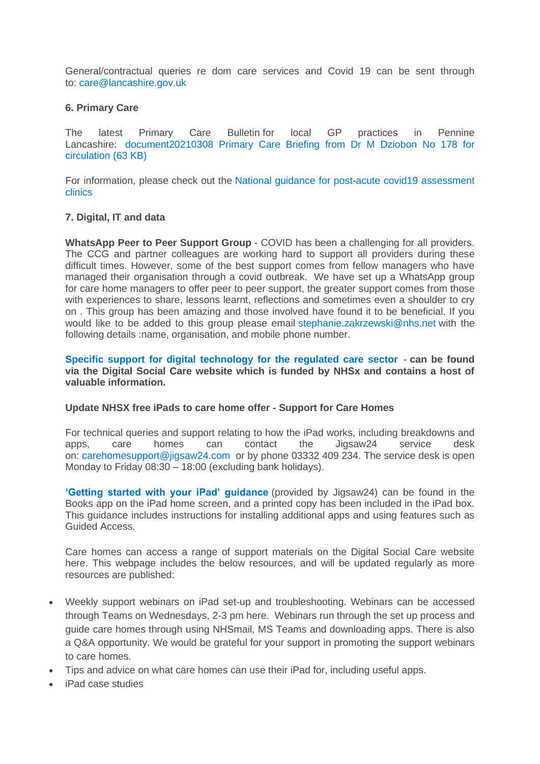General/contractual queries re dom care services and Covid 19 can be sent through to: [care@lancashire.gov.uk](mailto:care@lancashire.gov.uk)

#### **6. Primary Care**

The latest Primary Care Bulletin for local GP practices in Pennine Lancashire: document20210308 Primary [Care Briefing from Dr M Dziobon No 178 for](https://eastlancsccg.nhs.uk/about-us/publications/2797-20210308-primary-care-briefing-from-dr-m-dziobon-no-178-for-circulation)  [circulation](https://eastlancsccg.nhs.uk/about-us/publications/2797-20210308-primary-care-briefing-from-dr-m-dziobon-no-178-for-circulation) (63 KB)

For information, please check out the [National guidance for post-acute covid19 assessment](https://www.england.nhs.uk/coronavirus/guidance-for-everyone/your-covid-recovery/)  [clinics](https://www.england.nhs.uk/coronavirus/guidance-for-everyone/your-covid-recovery/) 

#### **7. Digital, IT and data**

**WhatsApp Peer to Peer Support Group** - COVID has been a challenging for all providers. The CCG and partner colleagues are working hard to support all providers during these difficult times. However, some of the best support comes from fellow managers who have managed their organisation through a covid outbreak. We have set up a WhatsApp group for care home managers to offer peer to peer support, the greater support comes from those with experiences to share, lessons learnt, reflections and sometimes even a shoulder to cry on . This group has been amazing and those involved have found it to be beneficial. If you would like to be added to this group please email [stephanie.zakrzewski@nhs.net](mailto:stephanie.zakrzewski@nhs.net) with the following details :name, organisation, and mobile phone number.

**[Specific support for digital technology for the regulated care sector](https://www.digitalsocialcare.co.uk/)** - **can be found via the Digital Social Care website which is funded by NHSx and contains a host of valuable information.**

#### **Update NHSX free iPads to care home offer - Support for Care Homes**

For technical queries and support relating to how the iPad works, including breakdowns and apps, care homes can contact the Jigsaw24 service desk on: [carehomesupport@jigsaw24.com](mailto:carehomesupport@jigsaw24.com) or by phone 03332 409 234. The service desk is open Monday to Friday 08:30 – 18:00 (excluding bank holidays).

**['Getting started with your iPad' guidance](https://eastlancsccg.nhs.uk/images/jigsaw24_CareHome_ipad_guide.pdf)** (provided by Jigsaw24) can be found in the Books app on the iPad home screen, and a printed copy has been included in the iPad box. This guidance includes instructions for installing additional apps and using features such as Guided Access.

Care homes can access a range of support materials on the Digital Social Care website here. This webpage includes the below resources, and will be updated regularly as more resources are published:

- Weekly support webinars on iPad set-up and troubleshooting. Webinars can be accessed through Teams on Wednesdays, 2-3 pm here. Webinars run through the set up process and guide care homes through using NHSmail, MS Teams and downloading apps. There is also a Q&A opportunity. We would be grateful for your support in promoting the support webinars to care homes.
- Tips and advice on what care homes can use their iPad for, including useful apps.
- iPad case studies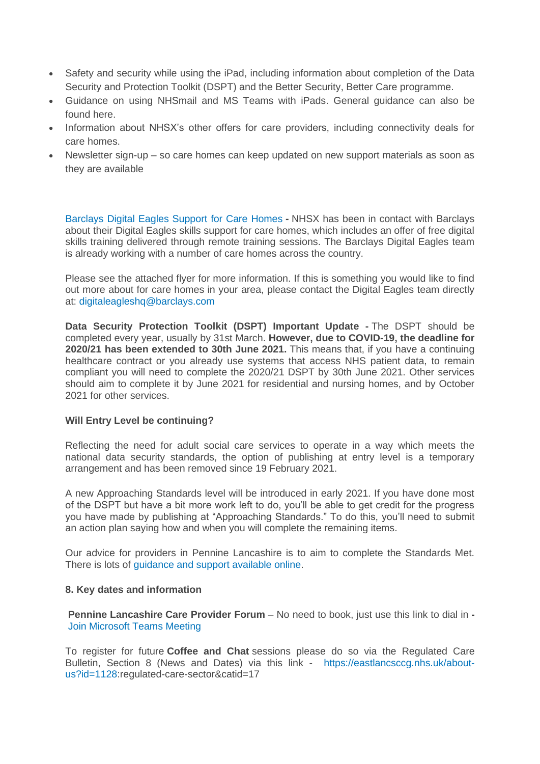- Safety and security while using the iPad, including information about completion of the Data Security and Protection Toolkit (DSPT) and the Better Security, Better Care programme.
- Guidance on using NHSmail and MS Teams with iPads. General guidance can also be found here.
- Information about NHSX's other offers for care providers, including connectivity deals for care homes.
- Newsletter sign-up so care homes can keep updated on new support materials as soon as they are available

[Barclays Digital Eagles Support for Care Homes](https://eastlancsccg.nhs.uk/images/Barclays_Digital_Eagles_Care_Home_Flyer.pdf) **-** NHSX has been in contact with Barclays about their Digital Eagles skills support for care homes, which includes an offer of free digital skills training delivered through remote training sessions. The Barclays Digital Eagles team is already working with a number of care homes across the country.

Please see the attached flyer for more information. If this is something you would like to find out more about for care homes in your area, please contact the Digital Eagles team directly at: [digitaleagleshq@barclays.com](mailto:digitaleagleshq@barclays.com)

**Data Security Protection Toolkit (DSPT) Important Update -** The DSPT should be completed every year, usually by 31st March. **However, due to COVID-19, the deadline for 2020/21 has been extended to 30th June 2021.** This means that, if you have a continuing healthcare contract or you already use systems that access NHS patient data, to remain compliant you will need to complete the 2020/21 DSPT by 30th June 2021. Other services should aim to complete it by June 2021 for residential and nursing homes, and by October 2021 for other services.

#### **Will Entry Level be continuing?**

Reflecting the need for adult social care services to operate in a way which meets the national data security standards, the option of publishing at entry level is a temporary arrangement and has been removed since 19 February 2021.

A new Approaching Standards level will be introduced in early 2021. If you have done most of the DSPT but have a bit more work left to do, you'll be able to get credit for the progress you have made by publishing at "Approaching Standards." To do this, you'll need to submit an action plan saying how and when you will complete the remaining items.

Our advice for providers in Pennine Lancashire is to aim to complete the Standards Met. There is lots of [guidance and support available online.](https://www.digitalsocialcare.co.uk/data-security-protecting-my-information/data-security-and-protection-toolkit/)

# **8. Key dates and information**

**Pennine Lancashire Care Provider Forum** – No need to book, just use this link to dial in **-** [Join Microsoft Teams Meeting](https://teams.microsoft.com/l/meetup-join/19%3ameeting_OWE0ZjdiNjUtNTRmZC00YzE2LWFhMjYtYjk2MGRhOTQ5NTEw%40thread.v2/0?context=%7b%22Tid%22%3a%2237c354b2-85b0-47f5-b222-07b48d774ee3%22%2c%22Oid%22%3a%226ae1fd49-b6bd-4e18-8c59-b3f5992aa6e2%22%7d)

To register for future **Coffee and Chat** sessions please do so via the Regulated Care Bulletin, Section 8 (News and Dates) via this link - [https://eastlancsccg.nhs.uk/about](https://eastlancsccg.nhs.uk/about-us?id=1128)[us?id=1128:](https://eastlancsccg.nhs.uk/about-us?id=1128)regulated-care-sector&catid=17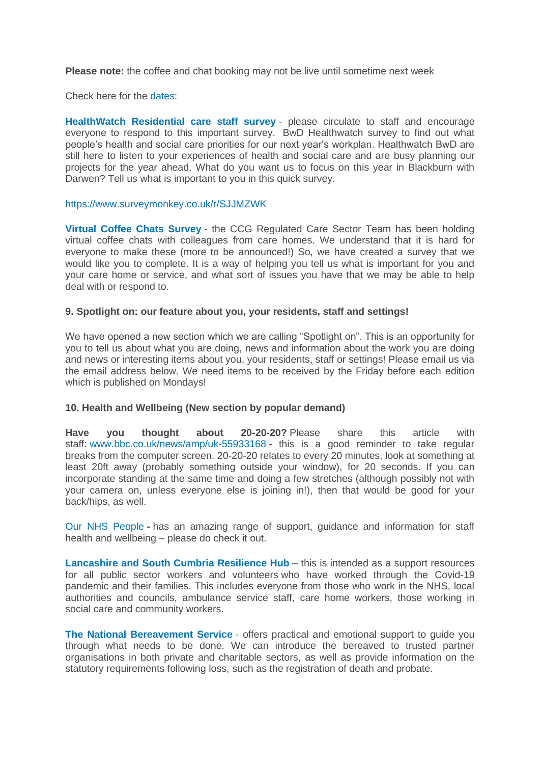**Please note:** the coffee and chat booking may not be live until sometime next week

Check here for the [dates:](https://eastlancsccg.nhs.uk/images/Worksheet_in_E_Issue_No_14_1st_March_2021.xlsx)

**[HealthWatch Residential care staff survey](https://www.surveymonkey.co.uk/r/F37VV7N)** - please circulate to staff and encourage everyone to respond to this important survey. BwD Healthwatch survey to find out what people's health and social care priorities for our next year's workplan. Healthwatch BwD are still here to listen to your experiences of health and social care and are busy planning our projects for the year ahead. What do you want us to focus on this year in Blackburn with Darwen? Tell us what is important to you in this quick survey.

#### <https://www.surveymonkey.co.uk/r/SJJMZWK>

**[Virtual Coffee Chats Survey](https://www.surveymonkey.co.uk/r/COVID_VCC)** - the CCG Regulated Care Sector Team has been holding virtual coffee chats with colleagues from care homes. We understand that it is hard for everyone to make these (more to be announced!) So, we have created a survey that we would like you to complete. It is a way of helping you tell us what is important for you and your care home or service, and what sort of issues you have that we may be able to help deal with or respond to.

#### **9. Spotlight on: our feature about you, your residents, staff and settings!**

We have opened a new section which we are calling "Spotlight on". This is an opportunity for you to tell us about what you are doing, news and information about the work you are doing and news or interesting items about you, your residents, staff or settings! Please email us via the email address below. We need items to be received by the Friday before each edition which is published on Mondays!

# **10. Health and Wellbeing (New section by popular demand)**

**Have you thought about 20-20-20?** Please share this article with staff: [www.bbc.co.uk/news/amp/uk-55933168](https://www.bbc.co.uk/news/amp/uk-55933168) - this is a good reminder to take regular breaks from the computer screen. 20-20-20 relates to every 20 minutes, look at something at least 20ft away (probably something outside your window), for 20 seconds. If you can incorporate standing at the same time and doing a few stretches (although possibly not with your camera on, unless everyone else is joining in!), then that would be good for your back/hips, as well.

[Our NHS People](https://people.nhs.uk/) **-** has an amazing range of support, guidance and information for staff health and wellbeing – please do check it out.

**[Lancashire and South Cumbria Resilience Hub](https://lscresiliencehub.nhs.uk/)** – this is intended as a support resources for all public sector workers and volunteers who have worked through the Covid-19 pandemic and their families. This includes everyone from those who work in the NHS, local authorities and councils, ambulance service staff, care home workers, those working in social care and community workers.

**[The National Bereavement Service](http://thenbs.org/)** - offers practical and emotional support to guide you through what needs to be done. We can introduce the bereaved to trusted partner organisations in both private and charitable sectors, as well as provide information on the statutory requirements following loss, such as the registration of death and probate.